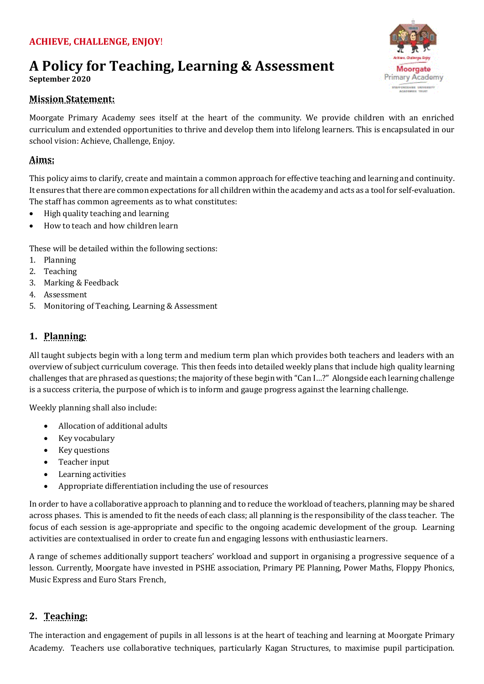# **A Policy for Teaching, Learning & Assessment**

**September 2020** 

## **Mission Statement:**

Moorgate Primary Academy sees itself at the heart of the community. We provide children with an enriched curriculum and extended opportunities to thrive and develop them into lifelong learners. This is encapsulated in our school vision: Achieve, Challenge, Enjoy.

# **Aims:**

This policy aims to clarify, create and maintain a common approach for effective teaching and learning and continuity. It ensures that there are common expectations for all children within the academy and acts as a tool for self-evaluation. The staff has common agreements as to what constitutes:

- High quality teaching and learning
- How to teach and how children learn

These will be detailed within the following sections:

- 1. Planning
- 2. Teaching
- 3. Marking & Feedback
- 4. Assessment
- 5. Monitoring of Teaching, Learning & Assessment

# **1. Planning:**

All taught subjects begin with a long term and medium term plan which provides both teachers and leaders with an overview of subject curriculum coverage. This then feeds into detailed weekly plans that include high quality learning challenges that are phrased as questions; the majority of these begin with "Can I…?" Alongside each learning challenge is a success criteria, the purpose of which is to inform and gauge progress against the learning challenge.

Weekly planning shall also include:

- Allocation of additional adults
- Key vocabulary
- Key questions
- Teacher input
- Learning activities
- Appropriate differentiation including the use of resources

In order to have a collaborative approach to planning and to reduce the workload of teachers, planning may be shared across phases. This is amended to fit the needs of each class; all planning is the responsibility of the class teacher. The focus of each session is age-appropriate and specific to the ongoing academic development of the group. Learning activities are contextualised in order to create fun and engaging lessons with enthusiastic learners.

A range of schemes additionally support teachers' workload and support in organising a progressive sequence of a lesson. Currently, Moorgate have invested in PSHE association, Primary PE Planning, Power Maths, Floppy Phonics, Music Express and Euro Stars French,

## **2. Teaching:**

The interaction and engagement of pupils in all lessons is at the heart of teaching and learning at Moorgate Primary Academy. Teachers use collaborative techniques, particularly Kagan Structures, to maximise pupil participation.

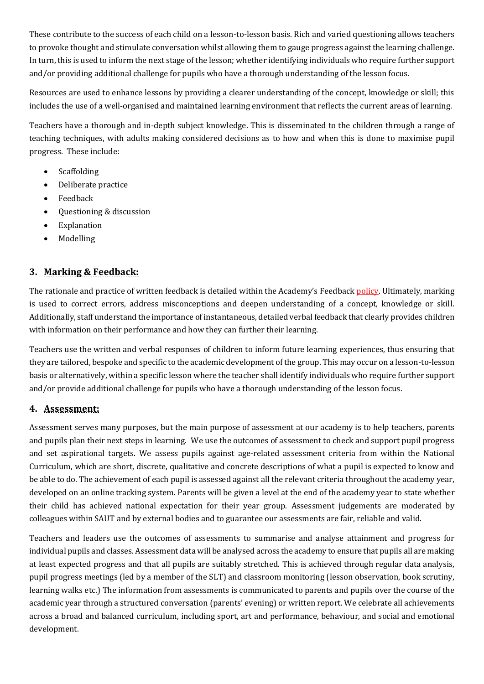These contribute to the success of each child on a lesson-to-lesson basis. Rich and varied questioning allows teachers to provoke thought and stimulate conversation whilst allowing them to gauge progress against the learning challenge. In turn, this is used to inform the next stage of the lesson; whether identifying individuals who require further support and/or providing additional challenge for pupils who have a thorough understanding of the lesson focus.

Resources are used to enhance lessons by providing a clearer understanding of the concept, knowledge or skill; this includes the use of a well-organised and maintained learning environment that reflects the current areas of learning.

Teachers have a thorough and in-depth subject knowledge. This is disseminated to the children through a range of teaching techniques, with adults making considered decisions as to how and when this is done to maximise pupil progress. These include:

- Scaffolding
- Deliberate practice
- Feedback
- Ouestioning & discussion
- Explanation
- Modelling

# **3. Marking & Feedback:**

The rationale and practice of written feedback is detailed within the Academy's Feedbac[k policy.](http://www.moorgateacademy.co.uk/images/image_gallery/large/1508324297.pdf) Ultimately, marking is used to correct errors, address misconceptions and deepen understanding of a concept, knowledge or skill. Additionally, staff understand the importance of instantaneous, detailed verbal feedback that clearly provides children with information on their performance and how they can further their learning.

Teachers use the written and verbal responses of children to inform future learning experiences, thus ensuring that they are tailored, bespoke and specific to the academic development of the group. This may occur on a lesson-to-lesson basis or alternatively, within a specific lesson where the teacher shall identify individuals who require further support and/or provide additional challenge for pupils who have a thorough understanding of the lesson focus.

## **4. Assessment:**

Assessment serves many purposes, but the main purpose of assessment at our academy is to help teachers, parents and pupils plan their next steps in learning. We use the outcomes of assessment to check and support pupil progress and set aspirational targets. We assess pupils against age-related assessment criteria from within the National Curriculum, which are short, discrete, qualitative and concrete descriptions of what a pupil is expected to know and be able to do. The achievement of each pupil is assessed against all the relevant criteria throughout the academy year, developed on an online tracking system. Parents will be given a level at the end of the academy year to state whether their child has achieved national expectation for their year group. Assessment judgements are moderated by colleagues within SAUT and by external bodies and to guarantee our assessments are fair, reliable and valid.

Teachers and leaders use the outcomes of assessments to summarise and analyse attainment and progress for individual pupils and classes. Assessment data will be analysed across the academy to ensure that pupils all are making at least expected progress and that all pupils are suitably stretched. This is achieved through regular data analysis, pupil progress meetings (led by a member of the SLT) and classroom monitoring (lesson observation, book scrutiny, learning walks etc.) The information from assessments is communicated to parents and pupils over the course of the academic year through a structured conversation (parents' evening) or written report. We celebrate all achievements across a broad and balanced curriculum, including sport, art and performance, behaviour, and social and emotional development.